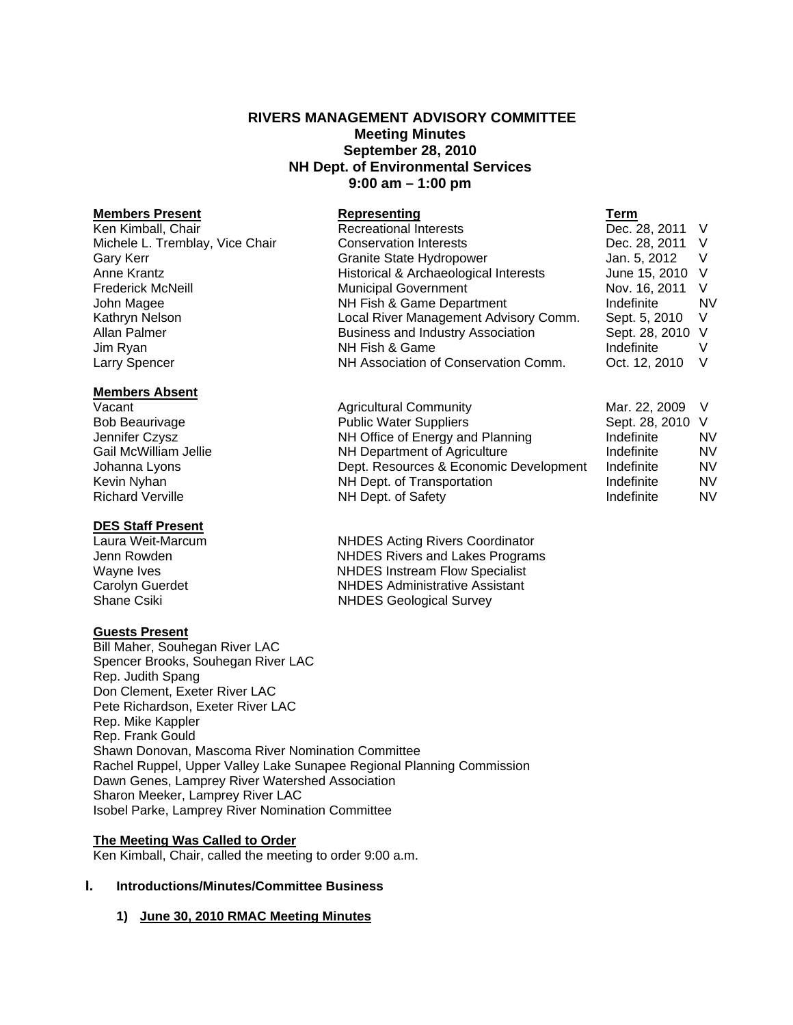# **RIVERS MANAGEMENT ADVISORY COMMITTEE Meeting Minutes September 28, 2010 NH Dept. of Environmental Services 9:00 am – 1:00 pm**

#### **Members Present**

#### **Members Absent**

# **DES Staff Present**

#### **Guests Present**

Bill Maher, Souhegan River LAC Spencer Brooks, Souhegan River LAC Rep. Judith Spang Don Clement, Exeter River LAC Pete Richardson, Exeter River LAC Rep. Mike Kappler Rep. Frank Gould Shawn Donovan, Mascoma River Nomination Committee Rachel Ruppel, Upper Valley Lake Sunapee Regional Planning Commission Dawn Genes, Lamprey River Watershed Association Sharon Meeker, Lamprey River LAC Isobel Parke, Lamprey River Nomination Committee

### **The Meeting Was Called to Order**

Ken Kimball, Chair, called the meeting to order 9:00 a.m.

#### **I. Introductions/Minutes/Committee Business**

#### **1) June 30, 2010 RMAC Meeting Minutes**

| <b>Members Present</b>          | Representing                             | Term             |           |
|---------------------------------|------------------------------------------|------------------|-----------|
| Ken Kimball, Chair              | <b>Recreational Interests</b>            | Dec. 28, 2011 V  |           |
| Michele L. Tremblay, Vice Chair | <b>Conservation Interests</b>            | Dec. 28, 2011 V  |           |
| Gary Kerr                       | <b>Granite State Hydropower</b>          | Jan. 5, 2012     |           |
| Anne Krantz                     | Historical & Archaeological Interests    | June 15, 2010 V  |           |
| <b>Frederick McNeill</b>        | <b>Municipal Government</b>              | Nov. 16, 2011    | $\vee$    |
| John Magee                      | NH Fish & Game Department                | Indefinite       | <b>NV</b> |
| Kathryn Nelson                  | Local River Management Advisory Comm.    | Sept. 5, 2010    | V.        |
| Allan Palmer                    | <b>Business and Industry Association</b> | Sept. 28, 2010 V |           |
| Jim Ryan                        | NH Fish & Game                           | Indefinite       |           |
| Larry Spencer                   | NH Association of Conservation Comm.     | Oct. 12, 2010    |           |
|                                 |                                          |                  |           |

Vacant **Agricultural Community** Mar. 22, 2009 V Bob Beaurivage The Public Water Suppliers Communic Sept. 28, 2010 V Jennifer Czysz NH Office of Energy and Planning Indefinite NV Gail McWilliam Jellie **NH Department of Agriculture** Indefinite Indefinite In NV Johanna Lyons Dept. Resources & Economic Development Indefinite NV Kevin Nyhan **NH Dept.** of Transportation **Indefinite** NV Richard Verville **NH Dept. of Safety** Indefinite NV **Indefinite** NV

NHDES Acting Rivers Coordinator Jenn Rowden **NHDES** Rivers and Lakes Programs Wayne Ives **NHDES** Instream Flow Specialist Carolyn Guerdet **NHDES** Administrative Assistant<br>
Shane Csiki<br>
NHDES Geological Survey **NHDES Geological Survey**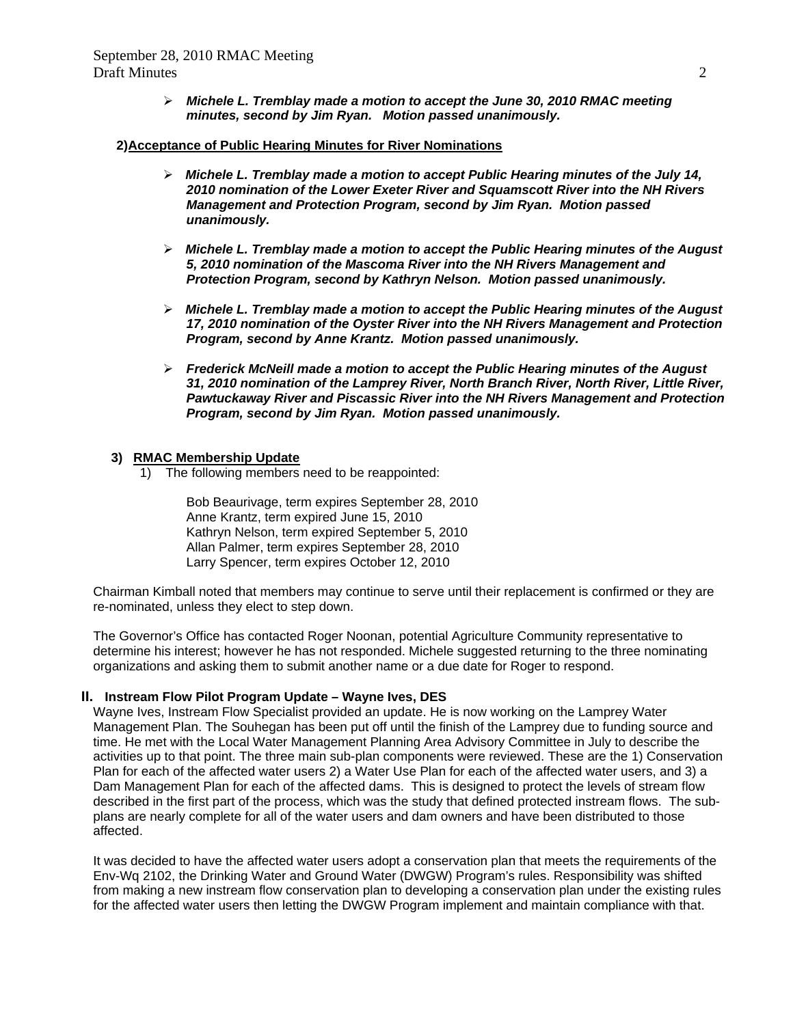*Michele L. Tremblay made a motion to accept the June 30, 2010 RMAC meeting minutes, second by Jim Ryan. Motion passed unanimously.* 

#### **2)Acceptance of Public Hearing Minutes for River Nominations**

- *Michele L. Tremblay made a motion to accept Public Hearing minutes of the July 14, 2010 nomination of the Lower Exeter River and Squamscott River into the NH Rivers Management and Protection Program, second by Jim Ryan. Motion passed unanimously.*
- *Michele L. Tremblay made a motion to accept the Public Hearing minutes of the August 5, 2010 nomination of the Mascoma River into the NH Rivers Management and Protection Program, second by Kathryn Nelson. Motion passed unanimously.*
- *Michele L. Tremblay made a motion to accept the Public Hearing minutes of the August 17, 2010 nomination of the Oyster River into the NH Rivers Management and Protection Program, second by Anne Krantz. Motion passed unanimously.*
- *Frederick McNeill made a motion to accept the Public Hearing minutes of the August 31, 2010 nomination of the Lamprey River, North Branch River, North River, Little River, Pawtuckaway River and Piscassic River into the NH Rivers Management and Protection Program, second by Jim Ryan. Motion passed unanimously.*

#### **3) RMAC Membership Update**

1) The following members need to be reappointed:

 Bob Beaurivage, term expires September 28, 2010 Anne Krantz, term expired June 15, 2010 Kathryn Nelson, term expired September 5, 2010 Allan Palmer, term expires September 28, 2010 Larry Spencer, term expires October 12, 2010

Chairman Kimball noted that members may continue to serve until their replacement is confirmed or they are re-nominated, unless they elect to step down.

The Governor's Office has contacted Roger Noonan, potential Agriculture Community representative to determine his interest; however he has not responded. Michele suggested returning to the three nominating organizations and asking them to submit another name or a due date for Roger to respond.

#### **II. Instream Flow Pilot Program Update – Wayne Ives, DES**

Wayne Ives, Instream Flow Specialist provided an update. He is now working on the Lamprey Water Management Plan. The Souhegan has been put off until the finish of the Lamprey due to funding source and time. He met with the Local Water Management Planning Area Advisory Committee in July to describe the activities up to that point. The three main sub-plan components were reviewed. These are the 1) Conservation Plan for each of the affected water users 2) a Water Use Plan for each of the affected water users, and 3) a Dam Management Plan for each of the affected dams. This is designed to protect the levels of stream flow described in the first part of the process, which was the study that defined protected instream flows. The subplans are nearly complete for all of the water users and dam owners and have been distributed to those affected.

It was decided to have the affected water users adopt a conservation plan that meets the requirements of the Env-Wq 2102, the Drinking Water and Ground Water (DWGW) Program's rules. Responsibility was shifted from making a new instream flow conservation plan to developing a conservation plan under the existing rules for the affected water users then letting the DWGW Program implement and maintain compliance with that.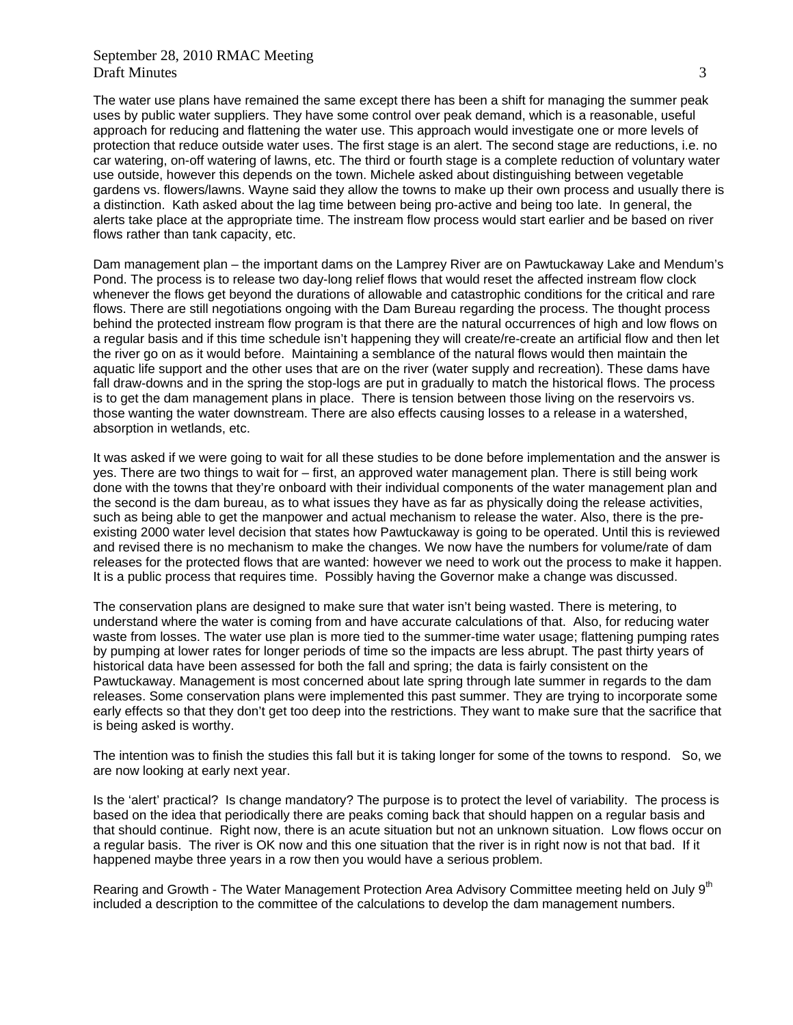The water use plans have remained the same except there has been a shift for managing the summer peak uses by public water suppliers. They have some control over peak demand, which is a reasonable, useful approach for reducing and flattening the water use. This approach would investigate one or more levels of protection that reduce outside water uses. The first stage is an alert. The second stage are reductions, i.e. no car watering, on-off watering of lawns, etc. The third or fourth stage is a complete reduction of voluntary water use outside, however this depends on the town. Michele asked about distinguishing between vegetable gardens vs. flowers/lawns. Wayne said they allow the towns to make up their own process and usually there is a distinction. Kath asked about the lag time between being pro-active and being too late. In general, the alerts take place at the appropriate time. The instream flow process would start earlier and be based on river flows rather than tank capacity, etc.

Dam management plan – the important dams on the Lamprey River are on Pawtuckaway Lake and Mendum's Pond. The process is to release two day-long relief flows that would reset the affected instream flow clock whenever the flows get beyond the durations of allowable and catastrophic conditions for the critical and rare flows. There are still negotiations ongoing with the Dam Bureau regarding the process. The thought process behind the protected instream flow program is that there are the natural occurrences of high and low flows on a regular basis and if this time schedule isn't happening they will create/re-create an artificial flow and then let the river go on as it would before. Maintaining a semblance of the natural flows would then maintain the aquatic life support and the other uses that are on the river (water supply and recreation). These dams have fall draw-downs and in the spring the stop-logs are put in gradually to match the historical flows. The process is to get the dam management plans in place. There is tension between those living on the reservoirs vs. those wanting the water downstream. There are also effects causing losses to a release in a watershed, absorption in wetlands, etc.

It was asked if we were going to wait for all these studies to be done before implementation and the answer is yes. There are two things to wait for – first, an approved water management plan. There is still being work done with the towns that they're onboard with their individual components of the water management plan and the second is the dam bureau, as to what issues they have as far as physically doing the release activities, such as being able to get the manpower and actual mechanism to release the water. Also, there is the preexisting 2000 water level decision that states how Pawtuckaway is going to be operated. Until this is reviewed and revised there is no mechanism to make the changes. We now have the numbers for volume/rate of dam releases for the protected flows that are wanted: however we need to work out the process to make it happen. It is a public process that requires time. Possibly having the Governor make a change was discussed.

The conservation plans are designed to make sure that water isn't being wasted. There is metering, to understand where the water is coming from and have accurate calculations of that. Also, for reducing water waste from losses. The water use plan is more tied to the summer-time water usage; flattening pumping rates by pumping at lower rates for longer periods of time so the impacts are less abrupt. The past thirty years of historical data have been assessed for both the fall and spring; the data is fairly consistent on the Pawtuckaway. Management is most concerned about late spring through late summer in regards to the dam releases. Some conservation plans were implemented this past summer. They are trying to incorporate some early effects so that they don't get too deep into the restrictions. They want to make sure that the sacrifice that is being asked is worthy.

The intention was to finish the studies this fall but it is taking longer for some of the towns to respond. So, we are now looking at early next year.

Is the 'alert' practical? Is change mandatory? The purpose is to protect the level of variability. The process is based on the idea that periodically there are peaks coming back that should happen on a regular basis and that should continue. Right now, there is an acute situation but not an unknown situation. Low flows occur on a regular basis. The river is OK now and this one situation that the river is in right now is not that bad. If it happened maybe three years in a row then you would have a serious problem.

Rearing and Growth - The Water Management Protection Area Advisory Committee meeting held on July 9<sup>th</sup> included a description to the committee of the calculations to develop the dam management numbers.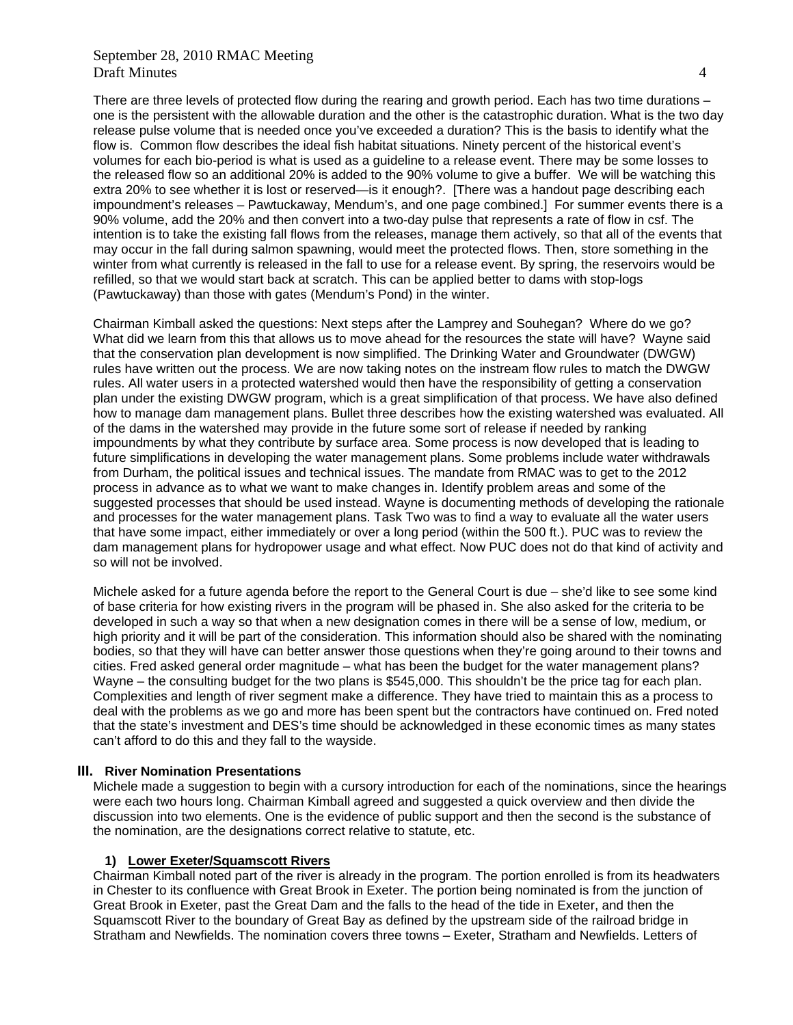There are three levels of protected flow during the rearing and growth period. Each has two time durations – one is the persistent with the allowable duration and the other is the catastrophic duration. What is the two day release pulse volume that is needed once you've exceeded a duration? This is the basis to identify what the flow is. Common flow describes the ideal fish habitat situations. Ninety percent of the historical event's volumes for each bio-period is what is used as a guideline to a release event. There may be some losses to the released flow so an additional 20% is added to the 90% volume to give a buffer. We will be watching this extra 20% to see whether it is lost or reserved—is it enough?. [There was a handout page describing each impoundment's releases – Pawtuckaway, Mendum's, and one page combined.] For summer events there is a 90% volume, add the 20% and then convert into a two-day pulse that represents a rate of flow in csf. The intention is to take the existing fall flows from the releases, manage them actively, so that all of the events that may occur in the fall during salmon spawning, would meet the protected flows. Then, store something in the winter from what currently is released in the fall to use for a release event. By spring, the reservoirs would be refilled, so that we would start back at scratch. This can be applied better to dams with stop-logs (Pawtuckaway) than those with gates (Mendum's Pond) in the winter.

Chairman Kimball asked the questions: Next steps after the Lamprey and Souhegan? Where do we go? What did we learn from this that allows us to move ahead for the resources the state will have? Wayne said that the conservation plan development is now simplified. The Drinking Water and Groundwater (DWGW) rules have written out the process. We are now taking notes on the instream flow rules to match the DWGW rules. All water users in a protected watershed would then have the responsibility of getting a conservation plan under the existing DWGW program, which is a great simplification of that process. We have also defined how to manage dam management plans. Bullet three describes how the existing watershed was evaluated. All of the dams in the watershed may provide in the future some sort of release if needed by ranking impoundments by what they contribute by surface area. Some process is now developed that is leading to future simplifications in developing the water management plans. Some problems include water withdrawals from Durham, the political issues and technical issues. The mandate from RMAC was to get to the 2012 process in advance as to what we want to make changes in. Identify problem areas and some of the suggested processes that should be used instead. Wayne is documenting methods of developing the rationale and processes for the water management plans. Task Two was to find a way to evaluate all the water users that have some impact, either immediately or over a long period (within the 500 ft.). PUC was to review the dam management plans for hydropower usage and what effect. Now PUC does not do that kind of activity and so will not be involved.

Michele asked for a future agenda before the report to the General Court is due – she'd like to see some kind of base criteria for how existing rivers in the program will be phased in. She also asked for the criteria to be developed in such a way so that when a new designation comes in there will be a sense of low, medium, or high priority and it will be part of the consideration. This information should also be shared with the nominating bodies, so that they will have can better answer those questions when they're going around to their towns and cities. Fred asked general order magnitude – what has been the budget for the water management plans? Wayne – the consulting budget for the two plans is \$545,000. This shouldn't be the price tag for each plan. Complexities and length of river segment make a difference. They have tried to maintain this as a process to deal with the problems as we go and more has been spent but the contractors have continued on. Fred noted that the state's investment and DES's time should be acknowledged in these economic times as many states can't afford to do this and they fall to the wayside.

#### **III. River Nomination Presentations**

Michele made a suggestion to begin with a cursory introduction for each of the nominations, since the hearings were each two hours long. Chairman Kimball agreed and suggested a quick overview and then divide the discussion into two elements. One is the evidence of public support and then the second is the substance of the nomination, are the designations correct relative to statute, etc.

#### **1) Lower Exeter/Squamscott Rivers**

Chairman Kimball noted part of the river is already in the program. The portion enrolled is from its headwaters in Chester to its confluence with Great Brook in Exeter. The portion being nominated is from the junction of Great Brook in Exeter, past the Great Dam and the falls to the head of the tide in Exeter, and then the Squamscott River to the boundary of Great Bay as defined by the upstream side of the railroad bridge in Stratham and Newfields. The nomination covers three towns – Exeter, Stratham and Newfields. Letters of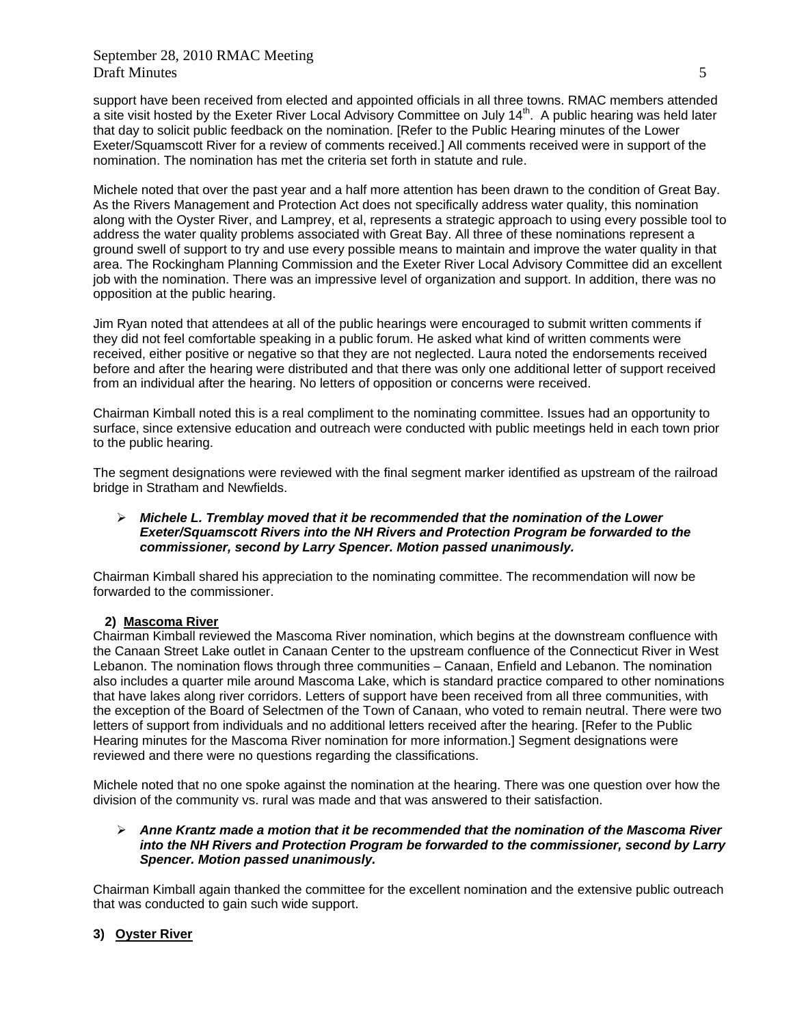support have been received from elected and appointed officials in all three towns. RMAC members attended a site visit hosted by the Exeter River Local Advisory Committee on July 14<sup>th</sup>. A public hearing was held later that day to solicit public feedback on the nomination. [Refer to the Public Hearing minutes of the Lower Exeter/Squamscott River for a review of comments received.] All comments received were in support of the nomination. The nomination has met the criteria set forth in statute and rule.

Michele noted that over the past year and a half more attention has been drawn to the condition of Great Bay. As the Rivers Management and Protection Act does not specifically address water quality, this nomination along with the Oyster River, and Lamprey, et al, represents a strategic approach to using every possible tool to address the water quality problems associated with Great Bay. All three of these nominations represent a ground swell of support to try and use every possible means to maintain and improve the water quality in that area. The Rockingham Planning Commission and the Exeter River Local Advisory Committee did an excellent job with the nomination. There was an impressive level of organization and support. In addition, there was no opposition at the public hearing.

Jim Ryan noted that attendees at all of the public hearings were encouraged to submit written comments if they did not feel comfortable speaking in a public forum. He asked what kind of written comments were received, either positive or negative so that they are not neglected. Laura noted the endorsements received before and after the hearing were distributed and that there was only one additional letter of support received from an individual after the hearing. No letters of opposition or concerns were received.

Chairman Kimball noted this is a real compliment to the nominating committee. Issues had an opportunity to surface, since extensive education and outreach were conducted with public meetings held in each town prior to the public hearing.

The segment designations were reviewed with the final segment marker identified as upstream of the railroad bridge in Stratham and Newfields.

#### *Michele L. Tremblay moved that it be recommended that the nomination of the Lower Exeter/Squamscott Rivers into the NH Rivers and Protection Program be forwarded to the commissioner, second by Larry Spencer. Motion passed unanimously.*

Chairman Kimball shared his appreciation to the nominating committee. The recommendation will now be forwarded to the commissioner.

### **2) Mascoma River**

Chairman Kimball reviewed the Mascoma River nomination, which begins at the downstream confluence with the Canaan Street Lake outlet in Canaan Center to the upstream confluence of the Connecticut River in West Lebanon. The nomination flows through three communities – Canaan, Enfield and Lebanon. The nomination also includes a quarter mile around Mascoma Lake, which is standard practice compared to other nominations that have lakes along river corridors. Letters of support have been received from all three communities, with the exception of the Board of Selectmen of the Town of Canaan, who voted to remain neutral. There were two letters of support from individuals and no additional letters received after the hearing. [Refer to the Public Hearing minutes for the Mascoma River nomination for more information.] Segment designations were reviewed and there were no questions regarding the classifications.

Michele noted that no one spoke against the nomination at the hearing. There was one question over how the division of the community vs. rural was made and that was answered to their satisfaction.

#### *Anne Krantz made a motion that it be recommended that the nomination of the Mascoma River into the NH Rivers and Protection Program be forwarded to the commissioner, second by Larry Spencer. Motion passed unanimously.*

Chairman Kimball again thanked the committee for the excellent nomination and the extensive public outreach that was conducted to gain such wide support.

### **3) Oyster River**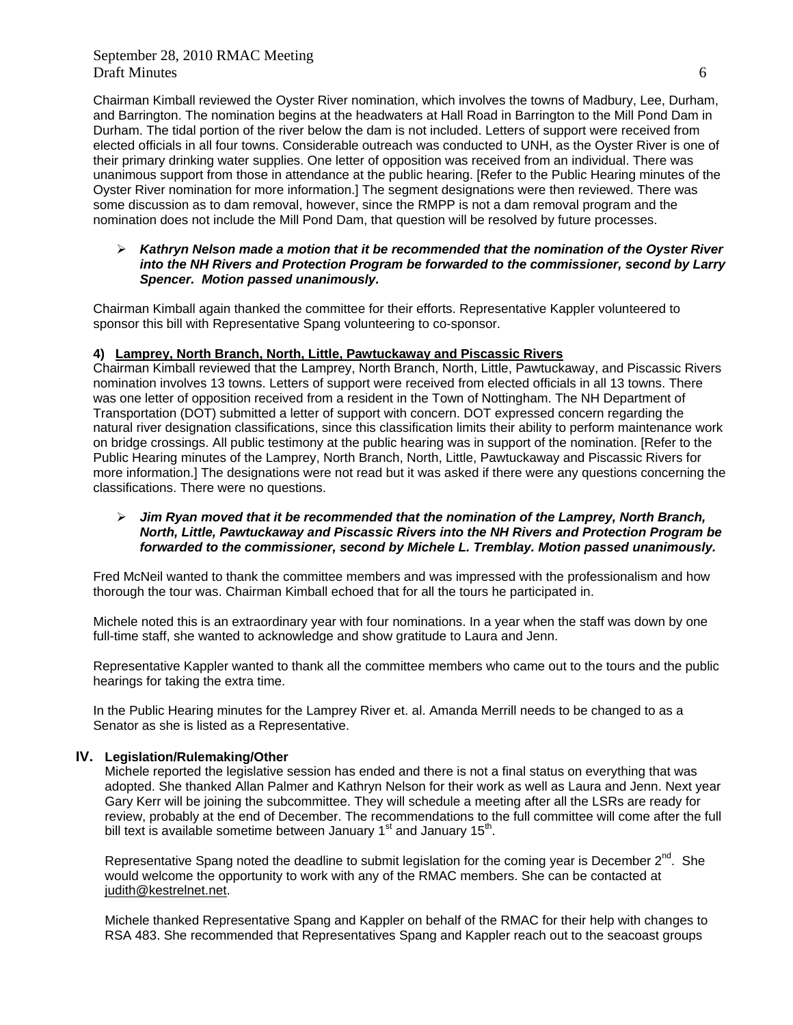Chairman Kimball reviewed the Oyster River nomination, which involves the towns of Madbury, Lee, Durham, and Barrington. The nomination begins at the headwaters at Hall Road in Barrington to the Mill Pond Dam in Durham. The tidal portion of the river below the dam is not included. Letters of support were received from elected officials in all four towns. Considerable outreach was conducted to UNH, as the Oyster River is one of their primary drinking water supplies. One letter of opposition was received from an individual. There was unanimous support from those in attendance at the public hearing. [Refer to the Public Hearing minutes of the Oyster River nomination for more information.] The segment designations were then reviewed. There was some discussion as to dam removal, however, since the RMPP is not a dam removal program and the nomination does not include the Mill Pond Dam, that question will be resolved by future processes.

#### *Kathryn Nelson made a motion that it be recommended that the nomination of the Oyster River into the NH Rivers and Protection Program be forwarded to the commissioner, second by Larry Spencer. Motion passed unanimously.*

Chairman Kimball again thanked the committee for their efforts. Representative Kappler volunteered to sponsor this bill with Representative Spang volunteering to co-sponsor.

#### **4) Lamprey, North Branch, North, Little, Pawtuckaway and Piscassic Rivers**

Chairman Kimball reviewed that the Lamprey, North Branch, North, Little, Pawtuckaway, and Piscassic Rivers nomination involves 13 towns. Letters of support were received from elected officials in all 13 towns. There was one letter of opposition received from a resident in the Town of Nottingham. The NH Department of Transportation (DOT) submitted a letter of support with concern. DOT expressed concern regarding the natural river designation classifications, since this classification limits their ability to perform maintenance work on bridge crossings. All public testimony at the public hearing was in support of the nomination. [Refer to the Public Hearing minutes of the Lamprey, North Branch, North, Little, Pawtuckaway and Piscassic Rivers for more information.] The designations were not read but it was asked if there were any questions concerning the classifications. There were no questions.

#### *Jim Ryan moved that it be recommended that the nomination of the Lamprey, North Branch, North, Little, Pawtuckaway and Piscassic Rivers into the NH Rivers and Protection Program be forwarded to the commissioner, second by Michele L. Tremblay. Motion passed unanimously.*

Fred McNeil wanted to thank the committee members and was impressed with the professionalism and how thorough the tour was. Chairman Kimball echoed that for all the tours he participated in.

Michele noted this is an extraordinary year with four nominations. In a year when the staff was down by one full-time staff, she wanted to acknowledge and show gratitude to Laura and Jenn.

Representative Kappler wanted to thank all the committee members who came out to the tours and the public hearings for taking the extra time.

In the Public Hearing minutes for the Lamprey River et. al. Amanda Merrill needs to be changed to as a Senator as she is listed as a Representative.

#### **IV. Legislation/Rulemaking/Other**

Michele reported the legislative session has ended and there is not a final status on everything that was adopted. She thanked Allan Palmer and Kathryn Nelson for their work as well as Laura and Jenn. Next year Gary Kerr will be joining the subcommittee. They will schedule a meeting after all the LSRs are ready for review, probably at the end of December. The recommendations to the full committee will come after the full bill text is available sometime between January  $1<sup>st</sup>$  and January  $15<sup>th</sup>$ .

Representative Spang noted the deadline to submit legislation for the coming year is December  $2^{nd}$ . She would welcome the opportunity to work with any of the RMAC members. She can be contacted at [judith@kestrelnet.net](mailto:Judith@kestrelnet.net).

Michele thanked Representative Spang and Kappler on behalf of the RMAC for their help with changes to RSA 483. She recommended that Representatives Spang and Kappler reach out to the seacoast groups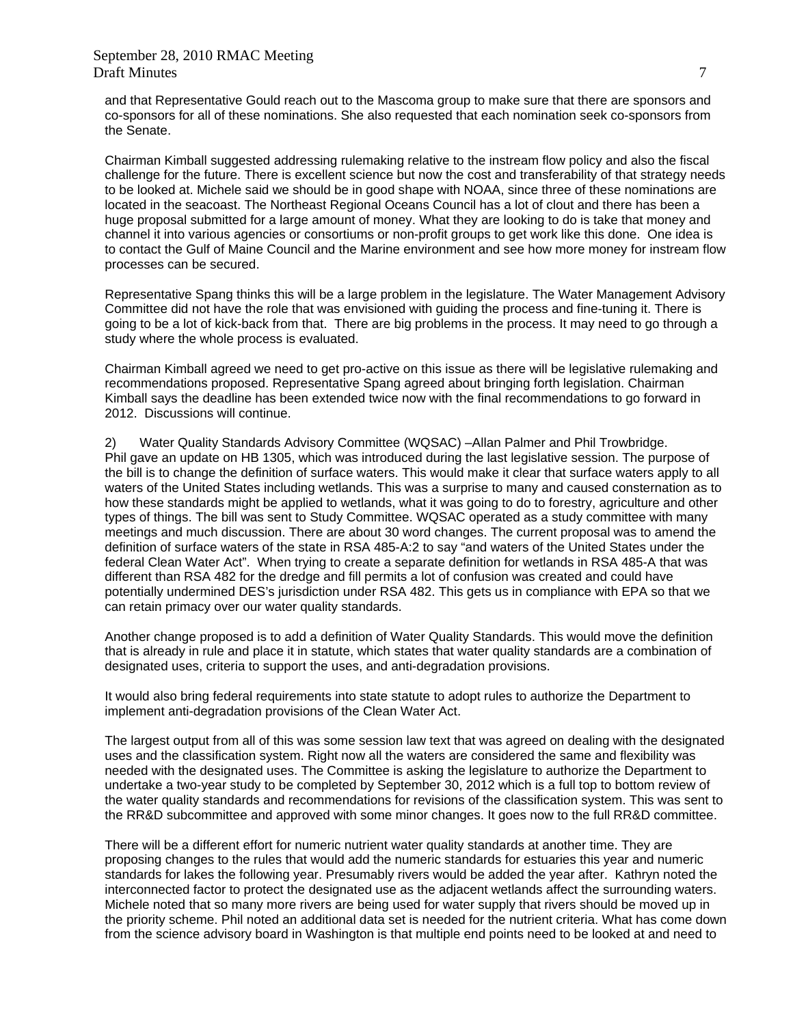and that Representative Gould reach out to the Mascoma group to make sure that there are sponsors and co-sponsors for all of these nominations. She also requested that each nomination seek co-sponsors from the Senate.

Chairman Kimball suggested addressing rulemaking relative to the instream flow policy and also the fiscal challenge for the future. There is excellent science but now the cost and transferability of that strategy needs to be looked at. Michele said we should be in good shape with NOAA, since three of these nominations are located in the seacoast. The Northeast Regional Oceans Council has a lot of clout and there has been a huge proposal submitted for a large amount of money. What they are looking to do is take that money and channel it into various agencies or consortiums or non-profit groups to get work like this done. One idea is to contact the Gulf of Maine Council and the Marine environment and see how more money for instream flow processes can be secured.

Representative Spang thinks this will be a large problem in the legislature. The Water Management Advisory Committee did not have the role that was envisioned with guiding the process and fine-tuning it. There is going to be a lot of kick-back from that. There are big problems in the process. It may need to go through a study where the whole process is evaluated.

Chairman Kimball agreed we need to get pro-active on this issue as there will be legislative rulemaking and recommendations proposed. Representative Spang agreed about bringing forth legislation. Chairman Kimball says the deadline has been extended twice now with the final recommendations to go forward in 2012. Discussions will continue.

2) Water Quality Standards Advisory Committee (WQSAC) –Allan Palmer and Phil Trowbridge. Phil gave an update on HB 1305, which was introduced during the last legislative session. The purpose of the bill is to change the definition of surface waters. This would make it clear that surface waters apply to all waters of the United States including wetlands. This was a surprise to many and caused consternation as to how these standards might be applied to wetlands, what it was going to do to forestry, agriculture and other types of things. The bill was sent to Study Committee. WQSAC operated as a study committee with many meetings and much discussion. There are about 30 word changes. The current proposal was to amend the definition of surface waters of the state in RSA 485-A:2 to say "and waters of the United States under the federal Clean Water Act". When trying to create a separate definition for wetlands in RSA 485-A that was different than RSA 482 for the dredge and fill permits a lot of confusion was created and could have potentially undermined DES's jurisdiction under RSA 482. This gets us in compliance with EPA so that we can retain primacy over our water quality standards.

Another change proposed is to add a definition of Water Quality Standards. This would move the definition that is already in rule and place it in statute, which states that water quality standards are a combination of designated uses, criteria to support the uses, and anti-degradation provisions.

It would also bring federal requirements into state statute to adopt rules to authorize the Department to implement anti-degradation provisions of the Clean Water Act.

The largest output from all of this was some session law text that was agreed on dealing with the designated uses and the classification system. Right now all the waters are considered the same and flexibility was needed with the designated uses. The Committee is asking the legislature to authorize the Department to undertake a two-year study to be completed by September 30, 2012 which is a full top to bottom review of the water quality standards and recommendations for revisions of the classification system. This was sent to the RR&D subcommittee and approved with some minor changes. It goes now to the full RR&D committee.

There will be a different effort for numeric nutrient water quality standards at another time. They are proposing changes to the rules that would add the numeric standards for estuaries this year and numeric standards for lakes the following year. Presumably rivers would be added the year after. Kathryn noted the interconnected factor to protect the designated use as the adjacent wetlands affect the surrounding waters. Michele noted that so many more rivers are being used for water supply that rivers should be moved up in the priority scheme. Phil noted an additional data set is needed for the nutrient criteria. What has come down from the science advisory board in Washington is that multiple end points need to be looked at and need to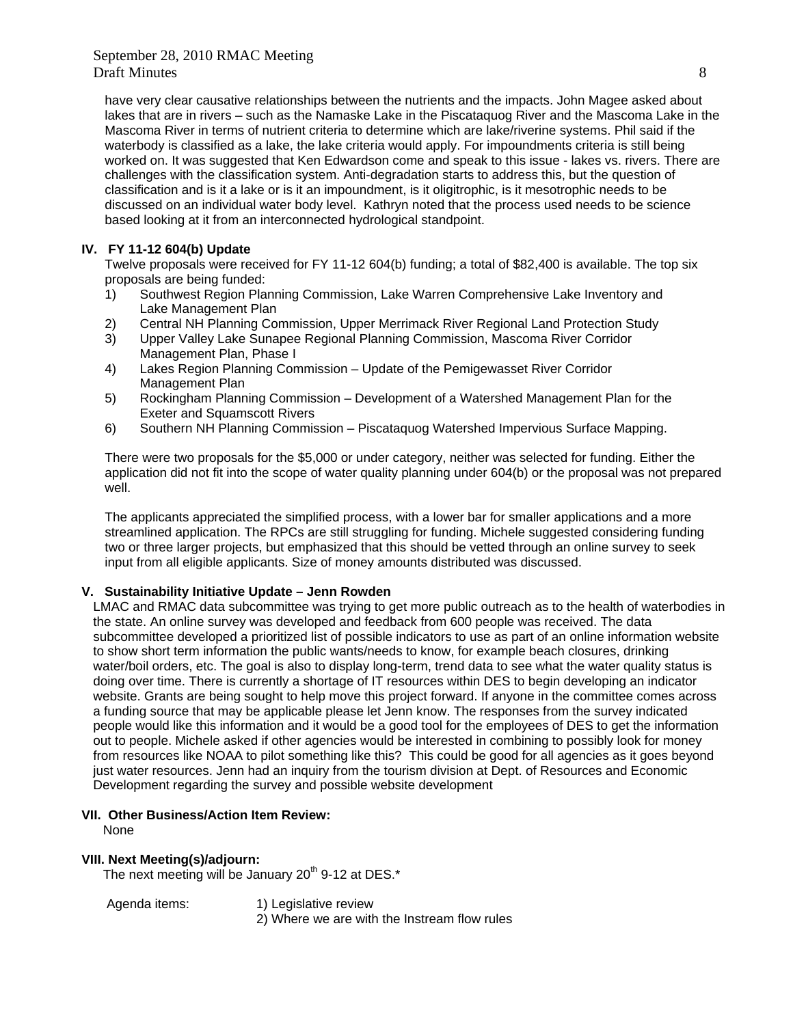have very clear causative relationships between the nutrients and the impacts. John Magee asked about lakes that are in rivers – such as the Namaske Lake in the Piscataquog River and the Mascoma Lake in the Mascoma River in terms of nutrient criteria to determine which are lake/riverine systems. Phil said if the waterbody is classified as a lake, the lake criteria would apply. For impoundments criteria is still being worked on. It was suggested that Ken Edwardson come and speak to this issue - lakes vs. rivers. There are challenges with the classification system. Anti-degradation starts to address this, but the question of classification and is it a lake or is it an impoundment, is it oligitrophic, is it mesotrophic needs to be discussed on an individual water body level. Kathryn noted that the process used needs to be science based looking at it from an interconnected hydrological standpoint.

### **IV. FY 11-12 604(b) Update**

 Twelve proposals were received for FY 11-12 604(b) funding; a total of \$82,400 is available. The top six proposals are being funded:

- 1) Southwest Region Planning Commission, Lake Warren Comprehensive Lake Inventory and Lake Management Plan
- 2) Central NH Planning Commission, Upper Merrimack River Regional Land Protection Study
- 3) Upper Valley Lake Sunapee Regional Planning Commission, Mascoma River Corridor Management Plan, Phase I
- 4) Lakes Region Planning Commission Update of the Pemigewasset River Corridor Management Plan
- 5) Rockingham Planning Commission Development of a Watershed Management Plan for the Exeter and Squamscott Rivers
- 6) Southern NH Planning Commission Piscataquog Watershed Impervious Surface Mapping.

 There were two proposals for the \$5,000 or under category, neither was selected for funding. Either the application did not fit into the scope of water quality planning under 604(b) or the proposal was not prepared well.

 The applicants appreciated the simplified process, with a lower bar for smaller applications and a more streamlined application. The RPCs are still struggling for funding. Michele suggested considering funding two or three larger projects, but emphasized that this should be vetted through an online survey to seek input from all eligible applicants. Size of money amounts distributed was discussed.

### **V. Sustainability Initiative Update – Jenn Rowden**

LMAC and RMAC data subcommittee was trying to get more public outreach as to the health of waterbodies in the state. An online survey was developed and feedback from 600 people was received. The data subcommittee developed a prioritized list of possible indicators to use as part of an online information website to show short term information the public wants/needs to know, for example beach closures, drinking water/boil orders, etc. The goal is also to display long-term, trend data to see what the water quality status is doing over time. There is currently a shortage of IT resources within DES to begin developing an indicator website. Grants are being sought to help move this project forward. If anyone in the committee comes across a funding source that may be applicable please let Jenn know. The responses from the survey indicated people would like this information and it would be a good tool for the employees of DES to get the information out to people. Michele asked if other agencies would be interested in combining to possibly look for money from resources like NOAA to pilot something like this? This could be good for all agencies as it goes beyond just water resources. Jenn had an inquiry from the tourism division at Dept. of Resources and Economic Development regarding the survey and possible website development

#### **VII. Other Business/Action Item Review:**

None

#### **VIII. Next Meeting(s)/adjourn:**

The next meeting will be January  $20<sup>th</sup>$  9-12 at DES. $*$ 

Agenda items: 1) Legislative review

2) Where we are with the Instream flow rules